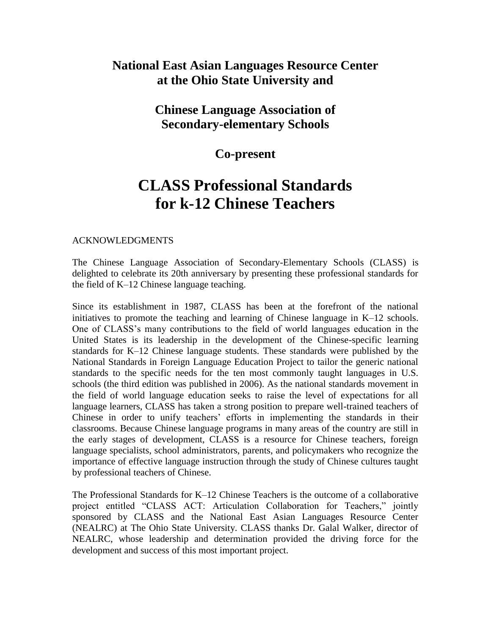## **National East Asian Languages Resource Center at the Ohio State University and**

### **Chinese Language Association of Secondary-elementary Schools**

### **Co-present**

# **CLASS Professional Standards for k-12 Chinese Teachers**

#### ACKNOWLEDGMENTS

The Chinese Language Association of Secondary-Elementary Schools (CLASS) is delighted to celebrate its 20th anniversary by presenting these professional standards for the field of K–12 Chinese language teaching.

Since its establishment in 1987, CLASS has been at the forefront of the national initiatives to promote the teaching and learning of Chinese language in K–12 schools. One of CLASS's many contributions to the field of world languages education in the United States is its leadership in the development of the Chinese-specific learning standards for K–12 Chinese language students. These standards were published by the National Standards in Foreign Language Education Project to tailor the generic national standards to the specific needs for the ten most commonly taught languages in U.S. schools (the third edition was published in 2006). As the national standards movement in the field of world language education seeks to raise the level of expectations for all language learners, CLASS has taken a strong position to prepare well-trained teachers of Chinese in order to unify teachers' efforts in implementing the standards in their classrooms. Because Chinese language programs in many areas of the country are still in the early stages of development, CLASS is a resource for Chinese teachers, foreign language specialists, school administrators, parents, and policymakers who recognize the importance of effective language instruction through the study of Chinese cultures taught by professional teachers of Chinese.

The Professional Standards for K–12 Chinese Teachers is the outcome of a collaborative project entitled "CLASS ACT: Articulation Collaboration for Teachers," jointly sponsored by CLASS and the National East Asian Languages Resource Center (NEALRC) at The Ohio State University. CLASS thanks Dr. Galal Walker, director of NEALRC, whose leadership and determination provided the driving force for the development and success of this most important project.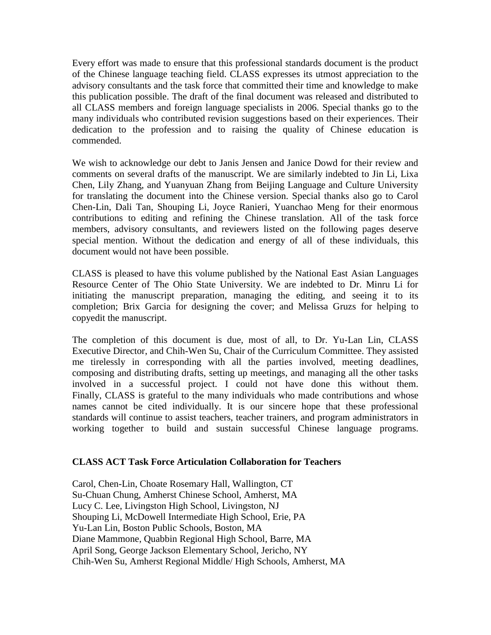Every effort was made to ensure that this professional standards document is the product of the Chinese language teaching field. CLASS expresses its utmost appreciation to the advisory consultants and the task force that committed their time and knowledge to make this publication possible. The draft of the final document was released and distributed to all CLASS members and foreign language specialists in 2006. Special thanks go to the many individuals who contributed revision suggestions based on their experiences. Their dedication to the profession and to raising the quality of Chinese education is commended.

We wish to acknowledge our debt to Janis Jensen and Janice Dowd for their review and comments on several drafts of the manuscript. We are similarly indebted to Jin Li, Lixa Chen, Lily Zhang, and Yuanyuan Zhang from Beijing Language and Culture University for translating the document into the Chinese version. Special thanks also go to Carol Chen-Lin, Dali Tan, Shouping Li, Joyce Ranieri, Yuanchao Meng for their enormous contributions to editing and refining the Chinese translation. All of the task force members, advisory consultants, and reviewers listed on the following pages deserve special mention. Without the dedication and energy of all of these individuals, this document would not have been possible.

CLASS is pleased to have this volume published by the National East Asian Languages Resource Center of The Ohio State University. We are indebted to Dr. Minru Li for initiating the manuscript preparation, managing the editing, and seeing it to its completion; Brix Garcia for designing the cover; and Melissa Gruzs for helping to copyedit the manuscript.

The completion of this document is due, most of all, to Dr. Yu-Lan Lin, CLASS Executive Director, and Chih-Wen Su, Chair of the Curriculum Committee. They assisted me tirelessly in corresponding with all the parties involved, meeting deadlines, composing and distributing drafts, setting up meetings, and managing all the other tasks involved in a successful project. I could not have done this without them. Finally, CLASS is grateful to the many individuals who made contributions and whose names cannot be cited individually. It is our sincere hope that these professional standards will continue to assist teachers, teacher trainers, and program administrators in working together to build and sustain successful Chinese language programs.

#### **CLASS ACT Task Force Articulation Collaboration for Teachers**

Carol, Chen-Lin, Choate Rosemary Hall, Wallington, CT Su-Chuan Chung, Amherst Chinese School, Amherst, MA Lucy C. Lee, Livingston High School, Livingston, NJ Shouping Li, McDowell Intermediate High School, Erie, PA Yu-Lan Lin, Boston Public Schools, Boston, MA Diane Mammone, Quabbin Regional High School, Barre, MA April Song, George Jackson Elementary School, Jericho, NY Chih-Wen Su, Amherst Regional Middle/ High Schools, Amherst, MA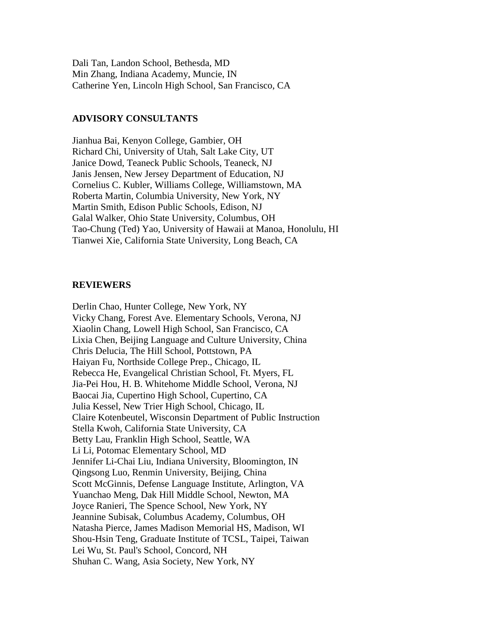Dali Tan, Landon School, Bethesda, MD Min Zhang, Indiana Academy, Muncie, IN Catherine Yen, Lincoln High School, San Francisco, CA

#### **ADVISORY CONSULTANTS**

Jianhua Bai, Kenyon College, Gambier, OH Richard Chi, University of Utah, Salt Lake City, UT Janice Dowd, Teaneck Public Schools, Teaneck, NJ Janis Jensen, New Jersey Department of Education, NJ Cornelius C. Kubler, Williams College, Williamstown, MA Roberta Martin, Columbia University, New York, NY Martin Smith, Edison Public Schools, Edison, NJ Galal Walker, Ohio State University, Columbus, OH Tao-Chung (Ted) Yao, University of Hawaii at Manoa, Honolulu, HI Tianwei Xie, California State University, Long Beach, CA

#### **REVIEWERS**

Derlin Chao, Hunter College, New York, NY Vicky Chang, Forest Ave. Elementary Schools, Verona, NJ Xiaolin Chang, Lowell High School, San Francisco, CA Lixia Chen, Beijing Language and Culture University, China Chris Delucia, The Hill School, Pottstown, PA Haiyan Fu, Northside College Prep., Chicago, IL Rebecca He, Evangelical Christian School, Ft. Myers, FL Jia-Pei Hou, H. B. Whitehome Middle School, Verona, NJ Baocai Jia, Cupertino High School, Cupertino, CA Julia Kessel, New Trier High School, Chicago, IL Claire Kotenbeutel, Wisconsin Department of Public Instruction Stella Kwoh, California State University, CA Betty Lau, Franklin High School, Seattle, WA Li Li, Potomac Elementary School, MD Jennifer Li-Chai Liu, Indiana University, Bloomington, IN Qingsong Luo, Renmin University, Beijing, China Scott McGinnis, Defense Language Institute, Arlington, VA Yuanchao Meng, Dak Hill Middle School, Newton, MA Joyce Ranieri, The Spence School, New York, NY Jeannine Subisak, Columbus Academy, Columbus, OH Natasha Pierce, James Madison Memorial HS, Madison, WI Shou-Hsin Teng, Graduate Institute of TCSL, Taipei, Taiwan Lei Wu, St. Paul's School, Concord, NH Shuhan C. Wang, Asia Society, New York, NY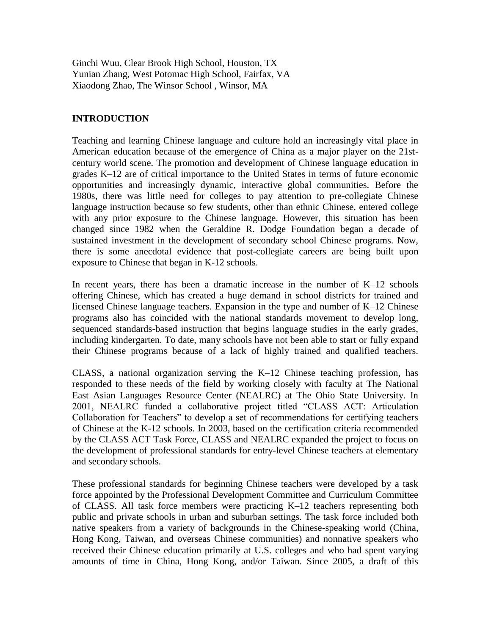Ginchi Wuu, Clear Brook High School, Houston, TX Yunian Zhang, West Potomac High School, Fairfax, VA Xiaodong Zhao, The Winsor School , Winsor, MA

#### **INTRODUCTION**

Teaching and learning Chinese language and culture hold an increasingly vital place in American education because of the emergence of China as a major player on the 21stcentury world scene. The promotion and development of Chinese language education in grades K–12 are of critical importance to the United States in terms of future economic opportunities and increasingly dynamic, interactive global communities. Before the 1980s, there was little need for colleges to pay attention to pre-collegiate Chinese language instruction because so few students, other than ethnic Chinese, entered college with any prior exposure to the Chinese language. However, this situation has been changed since 1982 when the Geraldine R. Dodge Foundation began a decade of sustained investment in the development of secondary school Chinese programs. Now, there is some anecdotal evidence that post-collegiate careers are being built upon exposure to Chinese that began in K-12 schools.

In recent years, there has been a dramatic increase in the number of  $K-12$  schools offering Chinese, which has created a huge demand in school districts for trained and licensed Chinese language teachers. Expansion in the type and number of K–12 Chinese programs also has coincided with the national standards movement to develop long, sequenced standards-based instruction that begins language studies in the early grades, including kindergarten. To date, many schools have not been able to start or fully expand their Chinese programs because of a lack of highly trained and qualified teachers.

CLASS, a national organization serving the K–12 Chinese teaching profession, has responded to these needs of the field by working closely with faculty at The National East Asian Languages Resource Center (NEALRC) at The Ohio State University. In 2001, NEALRC funded a collaborative project titled "CLASS ACT: Articulation Collaboration for Teachers" to develop a set of recommendations for certifying teachers of Chinese at the K-12 schools. In 2003, based on the certification criteria recommended by the CLASS ACT Task Force, CLASS and NEALRC expanded the project to focus on the development of professional standards for entry-level Chinese teachers at elementary and secondary schools.

These professional standards for beginning Chinese teachers were developed by a task force appointed by the Professional Development Committee and Curriculum Committee of CLASS. All task force members were practicing K–12 teachers representing both public and private schools in urban and suburban settings. The task force included both native speakers from a variety of backgrounds in the Chinese-speaking world (China, Hong Kong, Taiwan, and overseas Chinese communities) and nonnative speakers who received their Chinese education primarily at U.S. colleges and who had spent varying amounts of time in China, Hong Kong, and/or Taiwan. Since 2005, a draft of this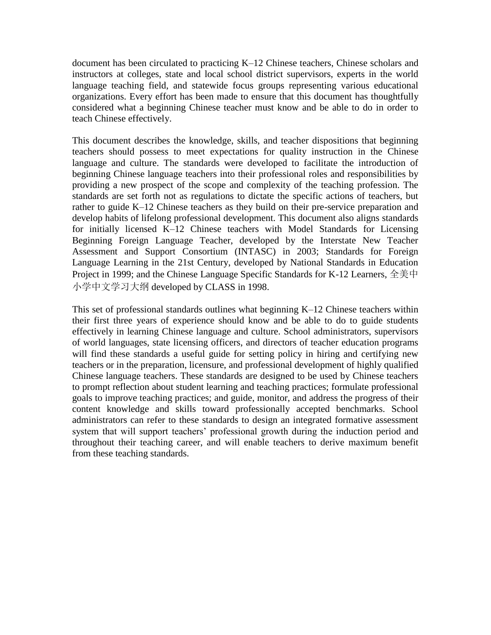document has been circulated to practicing K–12 Chinese teachers, Chinese scholars and instructors at colleges, state and local school district supervisors, experts in the world language teaching field, and statewide focus groups representing various educational organizations. Every effort has been made to ensure that this document has thoughtfully considered what a beginning Chinese teacher must know and be able to do in order to teach Chinese effectively.

This document describes the knowledge, skills, and teacher dispositions that beginning teachers should possess to meet expectations for quality instruction in the Chinese language and culture. The standards were developed to facilitate the introduction of beginning Chinese language teachers into their professional roles and responsibilities by providing a new prospect of the scope and complexity of the teaching profession. The standards are set forth not as regulations to dictate the specific actions of teachers, but rather to guide K–12 Chinese teachers as they build on their pre-service preparation and develop habits of lifelong professional development. This document also aligns standards for initially licensed K–12 Chinese teachers with Model Standards for Licensing Beginning Foreign Language Teacher, developed by the Interstate New Teacher Assessment and Support Consortium (INTASC) in 2003; Standards for Foreign Language Learning in the 21st Century, developed by National Standards in Education Project in 1999; and the Chinese Language Specific Standards for K-12 Learners, 全美中 小学中文学习大纲 developed by CLASS in 1998.

This set of professional standards outlines what beginning K–12 Chinese teachers within their first three years of experience should know and be able to do to guide students effectively in learning Chinese language and culture. School administrators, supervisors of world languages, state licensing officers, and directors of teacher education programs will find these standards a useful guide for setting policy in hiring and certifying new teachers or in the preparation, licensure, and professional development of highly qualified Chinese language teachers. These standards are designed to be used by Chinese teachers to prompt reflection about student learning and teaching practices; formulate professional goals to improve teaching practices; and guide, monitor, and address the progress of their content knowledge and skills toward professionally accepted benchmarks. School administrators can refer to these standards to design an integrated formative assessment system that will support teachers' professional growth during the induction period and throughout their teaching career, and will enable teachers to derive maximum benefit from these teaching standards.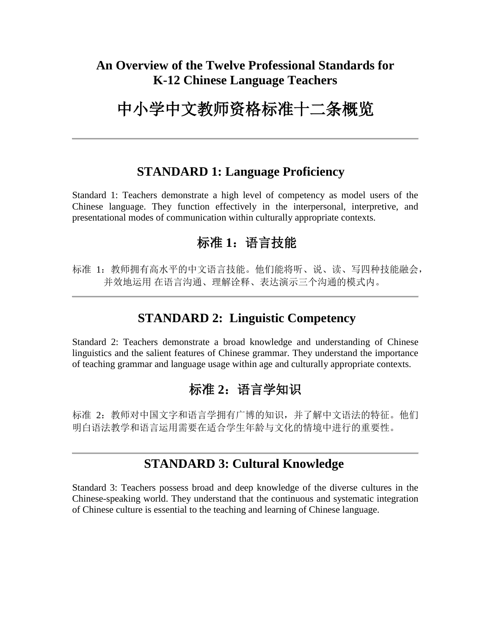# **An Overview of the Twelve Professional Standards for K-12 Chinese Language Teachers**

# 中小学中文教师资格标准十二条概览

## **STANDARD 1: Language Proficiency**

Standard 1: Teachers demonstrate a high level of competency as model users of the Chinese language. They function effectively in the interpersonal, interpretive, and presentational modes of communication within culturally appropriate contexts.

# 标准 1: 语言技能

标准 1: 教师拥有高水平的中文语言技能。他们能将听、说、读、写四种技能融会, 并效地运用 在语言沟通、理解诠释、表达演示三个沟通的模式内。

# **STANDARD 2: Linguistic Competency**

Standard 2: Teachers demonstrate a broad knowledge and understanding of Chinese linguistics and the salient features of Chinese grammar. They understand the importance of teaching grammar and language usage within age and culturally appropriate contexts.

# 标准 2: 语言学知识

标准 2: 教师对中国文字和语言学拥有广博的知识, 并了解中文语法的特征。他们 明白语法教学和语言运用需要在适合学生年龄与文化的情境中进行的重要性。

# **STANDARD 3: Cultural Knowledge**

Standard 3: Teachers possess broad and deep knowledge of the diverse cultures in the Chinese-speaking world. They understand that the continuous and systematic integration of Chinese culture is essential to the teaching and learning of Chinese language.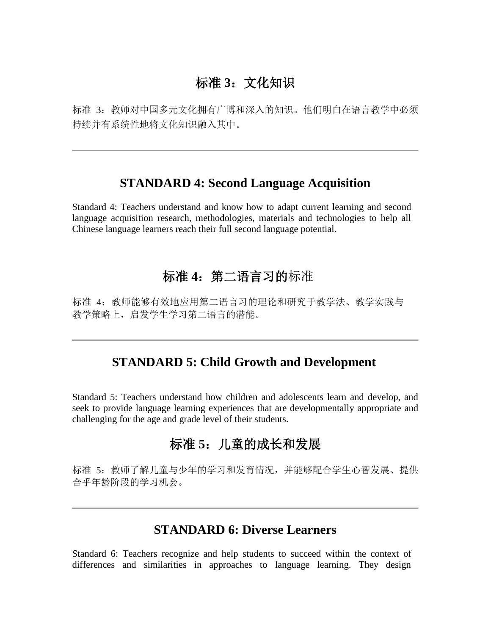# 标准 **3**:文化知识

标准 3:教师对中国多元文化拥有广博和深入的知识。他们明白在语言教学中必须 持续并有系统性地将文化知识融入其中。

#### **STANDARD 4: Second Language Acquisition**

Standard 4: Teachers understand and know how to adapt current learning and second language acquisition research, methodologies, materials and technologies to help all Chinese language learners reach their full second language potential.

# 标准 **4**:第二语言习的标准

标准 4: 教师能够有效地应用第二语言习的理论和研究于教学法、教学实践与 教学策略上,启发学生学习第二语言的潜能。

### **STANDARD 5: Child Growth and Development**

Standard 5: Teachers understand how children and adolescents learn and develop, and seek to provide language learning experiences that are developmentally appropriate and challenging for the age and grade level of their students.

# 标准 **5**:儿童的成长和发展

标准 5: 教师了解儿童与少年的学习和发育情况,并能够配合学生心智发展、提供 合乎年龄阶段的学习机会。

# **STANDARD 6: Diverse Learners**

Standard 6: Teachers recognize and help students to succeed within the context of differences and similarities in approaches to language learning. They design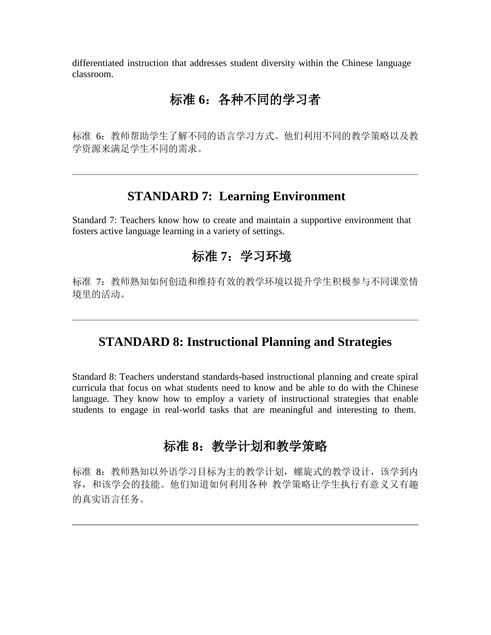differentiated instruction that addresses student diversity within the Chinese language classroom.

# 标准 **6**:各种不同的学习者

标准 6: 教师帮助学生了解不同的语言学习方式。他们利用不同的教学策略以及教 学资源来满足学生不同的需求。

## **STANDARD 7: Learning Environment**

Standard 7: Teachers know how to create and maintain a supportive environment that fosters active language learning in a variety of settings.

# 标准 **7**:学习环境

标准 7: 教师熟知如何创造和维持有效的教学环境以提升学生积极参与不同课堂情 境里的活动。

## **STANDARD 8: Instructional Planning and Strategies**

Standard 8: Teachers understand standards-based instructional planning and create spiral curricula that focus on what students need to know and be able to do with the Chinese language. They know how to employ a variety of instructional strategies that enable students to engage in real-world tasks that are meaningful and interesting to them.

# 标准 8: 教学计划和教学策略

标准 8: 教师熟知以外语学习目标为主的教学计划, 螺旋式的教学设计, 该学到内 容,和该学会的技能。他们知道如何利用各种 教学策略让学生执行有意义又有趣 的真实语言任务。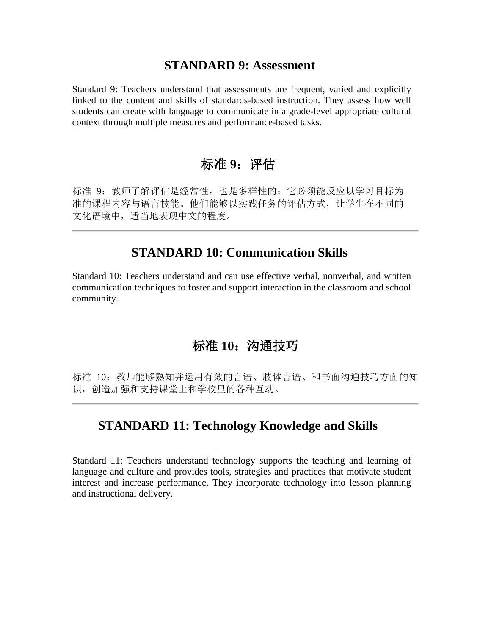#### **STANDARD 9: Assessment**

Standard 9: Teachers understand that assessments are frequent, varied and explicitly linked to the content and skills of standards-based instruction. They assess how well students can create with language to communicate in a grade-level appropriate cultural context through multiple measures and performance-based tasks.

# 标准 9: 评估

标准 9: 教师了解评估是经常性,也是多样性的;它必须能反应以学习目标为 准的课程内容与语言技能。他们能够以实践任务的评估方式,让学生在不同的 文化语境中,适当地表现中文的程度。

### **STANDARD 10: Communication Skills**

Standard 10: Teachers understand and can use effective verbal, nonverbal, and written communication techniques to foster and support interaction in the classroom and school community.

## 标准 **10**:沟通技巧

标准 10: 教师能够熟知并运用有效的言语、肢体言语、和书面沟通技巧方面的知 识,创造加强和支持课堂上和学校里的各种互动。

### **STANDARD 11: Technology Knowledge and Skills**

Standard 11: Teachers understand technology supports the teaching and learning of language and culture and provides tools, strategies and practices that motivate student interest and increase performance. They incorporate technology into lesson planning and instructional delivery.